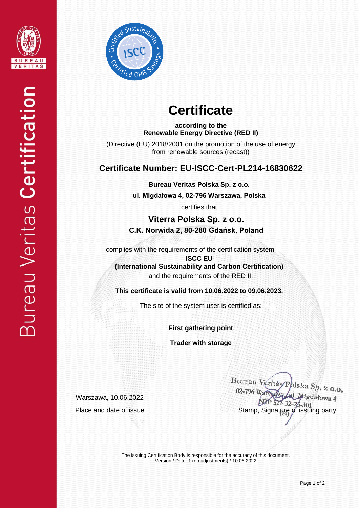



# **Certificate**

**according to the Renewable Energy Directive (RED II)**

(Directive (EU) 2018/2001 on the promotion of the use of energy from renewable sources (recast))

## **Certificate Number: EU-ISCC-Cert-PL214-16830622**

**Bureau Veritas Polska Sp. z o.o.**

**ul. Migdałowa 4, 02-796 Warszawa, Polska** 

certifies that

**Viterra Polska Sp. z o.o. C.K. Norwida 2, 80-280 Gdańsk, Poland**

complies with the requirements of the certification system

**ISCC EU (International Sustainability and Carbon Certification)** and the requirements of the RED II.

**This certificate is valid from 10.06.2022 to 09.06.2023.**

The site of the system user is certified as:

**First gathering point**

**Trader with storage**

Warszawa, 10.06.2022

Bureau Veritas Polska Sp. z o.o. 02-796 W ligdałowa 4  $1 - 32 - 28 - 301$ Place and date of issue Stamp, Signature of issuing party

> The issuing Certification Body is responsible for the accuracy of this document. Version / Date: 1 (no adjustments) / 10.06.2022